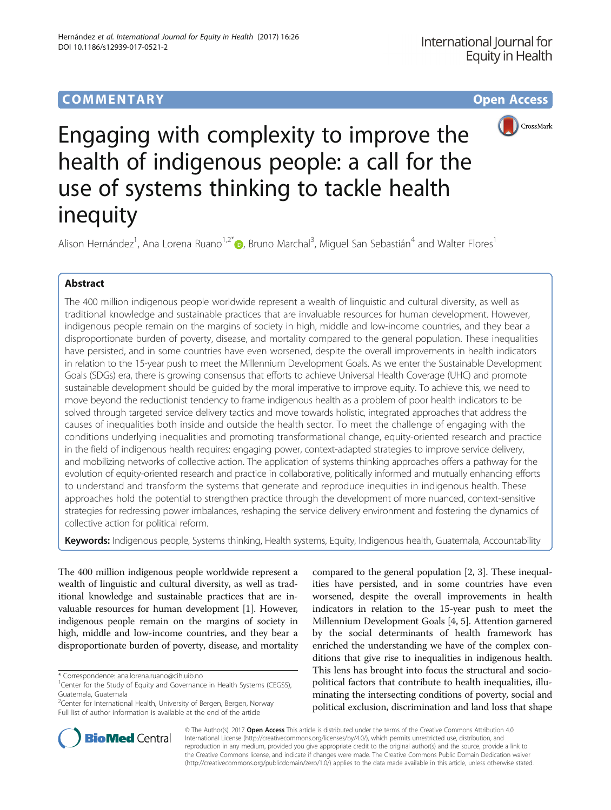# COMM EN TARY Open Access



# Engaging with complexity to improve the health of indigenous people: a call for the use of systems thinking to tackle health inequity

Alison Hernández<sup>1</sup>, Ana Lorena Ruano<sup>1,2[\\*](http://orcid.org/0000-0003-3913-4228)</sup>®, Bruno Marchal<sup>3</sup>, Miguel San Sebastián<sup>4</sup> and Walter Flores<sup>1</sup>

## Abstract

The 400 million indigenous people worldwide represent a wealth of linguistic and cultural diversity, as well as traditional knowledge and sustainable practices that are invaluable resources for human development. However, indigenous people remain on the margins of society in high, middle and low-income countries, and they bear a disproportionate burden of poverty, disease, and mortality compared to the general population. These inequalities have persisted, and in some countries have even worsened, despite the overall improvements in health indicators in relation to the 15-year push to meet the Millennium Development Goals. As we enter the Sustainable Development Goals (SDGs) era, there is growing consensus that efforts to achieve Universal Health Coverage (UHC) and promote sustainable development should be guided by the moral imperative to improve equity. To achieve this, we need to move beyond the reductionist tendency to frame indigenous health as a problem of poor health indicators to be solved through targeted service delivery tactics and move towards holistic, integrated approaches that address the causes of inequalities both inside and outside the health sector. To meet the challenge of engaging with the conditions underlying inequalities and promoting transformational change, equity-oriented research and practice in the field of indigenous health requires: engaging power, context-adapted strategies to improve service delivery, and mobilizing networks of collective action. The application of systems thinking approaches offers a pathway for the evolution of equity-oriented research and practice in collaborative, politically informed and mutually enhancing efforts to understand and transform the systems that generate and reproduce inequities in indigenous health. These approaches hold the potential to strengthen practice through the development of more nuanced, context-sensitive strategies for redressing power imbalances, reshaping the service delivery environment and fostering the dynamics of collective action for political reform.

Keywords: Indigenous people, Systems thinking, Health systems, Equity, Indigenous health, Guatemala, Accountability

The 400 million indigenous people worldwide represent a wealth of linguistic and cultural diversity, as well as traditional knowledge and sustainable practices that are invaluable resources for human development [[1](#page-3-0)]. However, indigenous people remain on the margins of society in high, middle and low-income countries, and they bear a disproportionate burden of poverty, disease, and mortality

compared to the general population [[2, 3\]](#page-3-0). These inequalities have persisted, and in some countries have even worsened, despite the overall improvements in health indicators in relation to the 15-year push to meet the Millennium Development Goals [[4](#page-3-0), [5](#page-3-0)]. Attention garnered by the social determinants of health framework has enriched the understanding we have of the complex conditions that give rise to inequalities in indigenous health. This lens has brought into focus the structural and sociopolitical factors that contribute to health inequalities, illuminating the intersecting conditions of poverty, social and political exclusion, discrimination and land loss that shape



© The Author(s). 2017 **Open Access** This article is distributed under the terms of the Creative Commons Attribution 4.0 International License [\(http://creativecommons.org/licenses/by/4.0/](http://creativecommons.org/licenses/by/4.0/)), which permits unrestricted use, distribution, and reproduction in any medium, provided you give appropriate credit to the original author(s) and the source, provide a link to the Creative Commons license, and indicate if changes were made. The Creative Commons Public Domain Dedication waiver [\(http://creativecommons.org/publicdomain/zero/1.0/](http://creativecommons.org/publicdomain/zero/1.0/)) applies to the data made available in this article, unless otherwise stated.

<sup>\*</sup> Correspondence: [ana.lorena.ruano@cih.uib.no](mailto:ana.lorena.ruano@cih.uib.no) <sup>1</sup>

<sup>&</sup>lt;sup>1</sup>Center for the Study of Equity and Governance in Health Systems (CEGSS), Guatemala, Guatemala

<sup>&</sup>lt;sup>2</sup>Center for International Health, University of Bergen, Bergen, Norway Full list of author information is available at the end of the article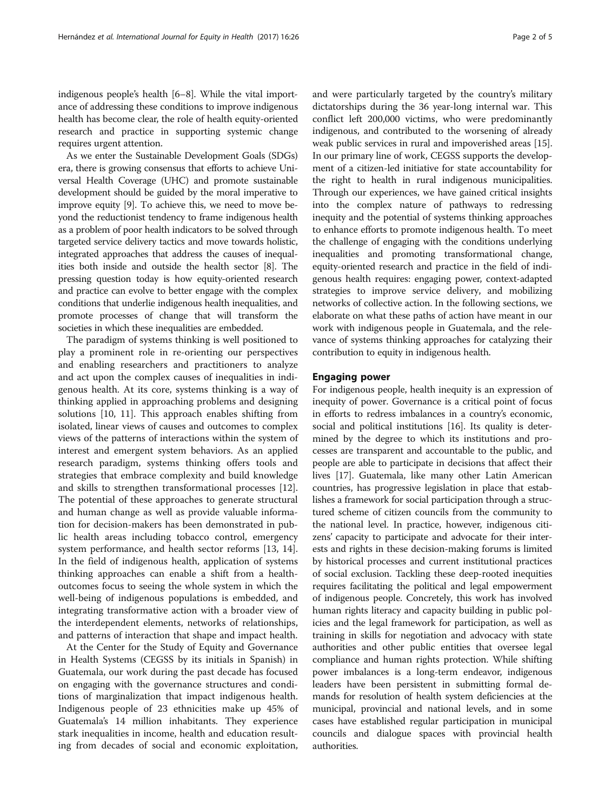indigenous people's health [\[6](#page-3-0)–[8](#page-3-0)]. While the vital importance of addressing these conditions to improve indigenous health has become clear, the role of health equity-oriented research and practice in supporting systemic change requires urgent attention.

As we enter the Sustainable Development Goals (SDGs) era, there is growing consensus that efforts to achieve Universal Health Coverage (UHC) and promote sustainable development should be guided by the moral imperative to improve equity [[9](#page-3-0)]. To achieve this, we need to move beyond the reductionist tendency to frame indigenous health as a problem of poor health indicators to be solved through targeted service delivery tactics and move towards holistic, integrated approaches that address the causes of inequalities both inside and outside the health sector [\[8\]](#page-3-0). The pressing question today is how equity-oriented research and practice can evolve to better engage with the complex conditions that underlie indigenous health inequalities, and promote processes of change that will transform the societies in which these inequalities are embedded.

The paradigm of systems thinking is well positioned to play a prominent role in re-orienting our perspectives and enabling researchers and practitioners to analyze and act upon the complex causes of inequalities in indigenous health. At its core, systems thinking is a way of thinking applied in approaching problems and designing solutions [[10, 11](#page-3-0)]. This approach enables shifting from isolated, linear views of causes and outcomes to complex views of the patterns of interactions within the system of interest and emergent system behaviors. As an applied research paradigm, systems thinking offers tools and strategies that embrace complexity and build knowledge and skills to strengthen transformational processes [\[12](#page-3-0)]. The potential of these approaches to generate structural and human change as well as provide valuable information for decision-makers has been demonstrated in public health areas including tobacco control, emergency system performance, and health sector reforms [[13, 14](#page-3-0)]. In the field of indigenous health, application of systems thinking approaches can enable a shift from a healthoutcomes focus to seeing the whole system in which the well-being of indigenous populations is embedded, and integrating transformative action with a broader view of the interdependent elements, networks of relationships, and patterns of interaction that shape and impact health.

At the Center for the Study of Equity and Governance in Health Systems (CEGSS by its initials in Spanish) in Guatemala, our work during the past decade has focused on engaging with the governance structures and conditions of marginalization that impact indigenous health. Indigenous people of 23 ethnicities make up 45% of Guatemala's 14 million inhabitants. They experience stark inequalities in income, health and education resulting from decades of social and economic exploitation, and were particularly targeted by the country's military dictatorships during the 36 year-long internal war. This conflict left 200,000 victims, who were predominantly indigenous, and contributed to the worsening of already weak public services in rural and impoverished areas [[15](#page-3-0)]. In our primary line of work, CEGSS supports the development of a citizen-led initiative for state accountability for the right to health in rural indigenous municipalities. Through our experiences, we have gained critical insights into the complex nature of pathways to redressing inequity and the potential of systems thinking approaches to enhance efforts to promote indigenous health. To meet the challenge of engaging with the conditions underlying inequalities and promoting transformational change, equity-oriented research and practice in the field of indigenous health requires: engaging power, context-adapted strategies to improve service delivery, and mobilizing networks of collective action. In the following sections, we elaborate on what these paths of action have meant in our work with indigenous people in Guatemala, and the relevance of systems thinking approaches for catalyzing their contribution to equity in indigenous health.

### Engaging power

For indigenous people, health inequity is an expression of inequity of power. Governance is a critical point of focus in efforts to redress imbalances in a country's economic, social and political institutions [\[16\]](#page-3-0). Its quality is determined by the degree to which its institutions and processes are transparent and accountable to the public, and people are able to participate in decisions that affect their lives [\[17\]](#page-3-0). Guatemala, like many other Latin American countries, has progressive legislation in place that establishes a framework for social participation through a structured scheme of citizen councils from the community to the national level. In practice, however, indigenous citizens' capacity to participate and advocate for their interests and rights in these decision-making forums is limited by historical processes and current institutional practices of social exclusion. Tackling these deep-rooted inequities requires facilitating the political and legal empowerment of indigenous people. Concretely, this work has involved human rights literacy and capacity building in public policies and the legal framework for participation, as well as training in skills for negotiation and advocacy with state authorities and other public entities that oversee legal compliance and human rights protection. While shifting power imbalances is a long-term endeavor, indigenous leaders have been persistent in submitting formal demands for resolution of health system deficiencies at the municipal, provincial and national levels, and in some cases have established regular participation in municipal councils and dialogue spaces with provincial health authorities.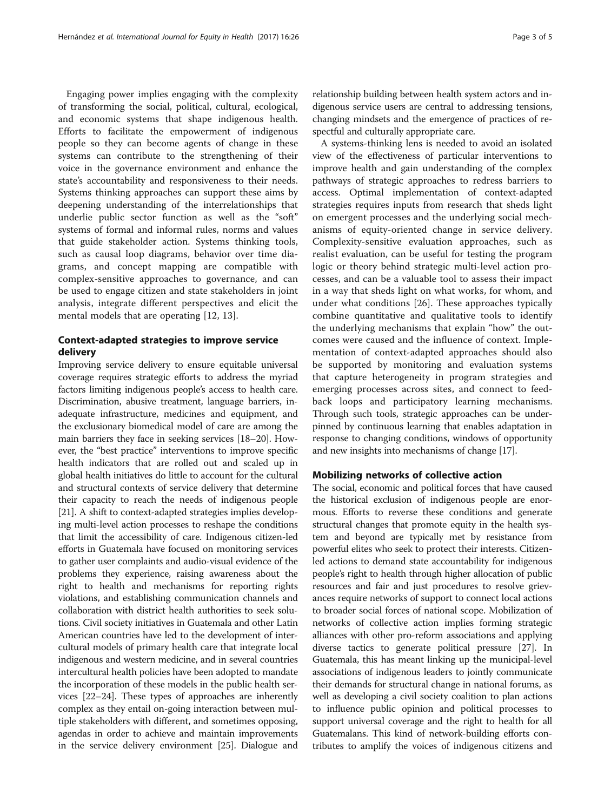Engaging power implies engaging with the complexity of transforming the social, political, cultural, ecological, and economic systems that shape indigenous health. Efforts to facilitate the empowerment of indigenous people so they can become agents of change in these systems can contribute to the strengthening of their voice in the governance environment and enhance the state's accountability and responsiveness to their needs. Systems thinking approaches can support these aims by deepening understanding of the interrelationships that underlie public sector function as well as the "soft" systems of formal and informal rules, norms and values that guide stakeholder action. Systems thinking tools, such as causal loop diagrams, behavior over time diagrams, and concept mapping are compatible with complex-sensitive approaches to governance, and can be used to engage citizen and state stakeholders in joint analysis, integrate different perspectives and elicit the mental models that are operating [[12, 13\]](#page-3-0).

## Context-adapted strategies to improve service delivery

Improving service delivery to ensure equitable universal coverage requires strategic efforts to address the myriad factors limiting indigenous people's access to health care. Discrimination, abusive treatment, language barriers, inadequate infrastructure, medicines and equipment, and the exclusionary biomedical model of care are among the main barriers they face in seeking services [\[18](#page-3-0)–[20](#page-4-0)]. However, the "best practice" interventions to improve specific health indicators that are rolled out and scaled up in global health initiatives do little to account for the cultural and structural contexts of service delivery that determine their capacity to reach the needs of indigenous people [[21](#page-4-0)]. A shift to context-adapted strategies implies developing multi-level action processes to reshape the conditions that limit the accessibility of care. Indigenous citizen-led efforts in Guatemala have focused on monitoring services to gather user complaints and audio-visual evidence of the problems they experience, raising awareness about the right to health and mechanisms for reporting rights violations, and establishing communication channels and collaboration with district health authorities to seek solutions. Civil society initiatives in Guatemala and other Latin American countries have led to the development of intercultural models of primary health care that integrate local indigenous and western medicine, and in several countries intercultural health policies have been adopted to mandate the incorporation of these models in the public health services [\[22](#page-4-0)–[24\]](#page-4-0). These types of approaches are inherently complex as they entail on-going interaction between multiple stakeholders with different, and sometimes opposing, agendas in order to achieve and maintain improvements in the service delivery environment [\[25\]](#page-4-0). Dialogue and relationship building between health system actors and indigenous service users are central to addressing tensions, changing mindsets and the emergence of practices of respectful and culturally appropriate care.

A systems-thinking lens is needed to avoid an isolated view of the effectiveness of particular interventions to improve health and gain understanding of the complex pathways of strategic approaches to redress barriers to access. Optimal implementation of context-adapted strategies requires inputs from research that sheds light on emergent processes and the underlying social mechanisms of equity-oriented change in service delivery. Complexity-sensitive evaluation approaches, such as realist evaluation, can be useful for testing the program logic or theory behind strategic multi-level action processes, and can be a valuable tool to assess their impact in a way that sheds light on what works, for whom, and under what conditions [[26\]](#page-4-0). These approaches typically combine quantitative and qualitative tools to identify the underlying mechanisms that explain "how" the outcomes were caused and the influence of context. Implementation of context-adapted approaches should also be supported by monitoring and evaluation systems that capture heterogeneity in program strategies and emerging processes across sites, and connect to feedback loops and participatory learning mechanisms. Through such tools, strategic approaches can be underpinned by continuous learning that enables adaptation in response to changing conditions, windows of opportunity and new insights into mechanisms of change [[17](#page-3-0)].

## Mobilizing networks of collective action

The social, economic and political forces that have caused the historical exclusion of indigenous people are enormous. Efforts to reverse these conditions and generate structural changes that promote equity in the health system and beyond are typically met by resistance from powerful elites who seek to protect their interests. Citizenled actions to demand state accountability for indigenous people's right to health through higher allocation of public resources and fair and just procedures to resolve grievances require networks of support to connect local actions to broader social forces of national scope. Mobilization of networks of collective action implies forming strategic alliances with other pro-reform associations and applying diverse tactics to generate political pressure [\[27](#page-4-0)]. In Guatemala, this has meant linking up the municipal-level associations of indigenous leaders to jointly communicate their demands for structural change in national forums, as well as developing a civil society coalition to plan actions to influence public opinion and political processes to support universal coverage and the right to health for all Guatemalans. This kind of network-building efforts contributes to amplify the voices of indigenous citizens and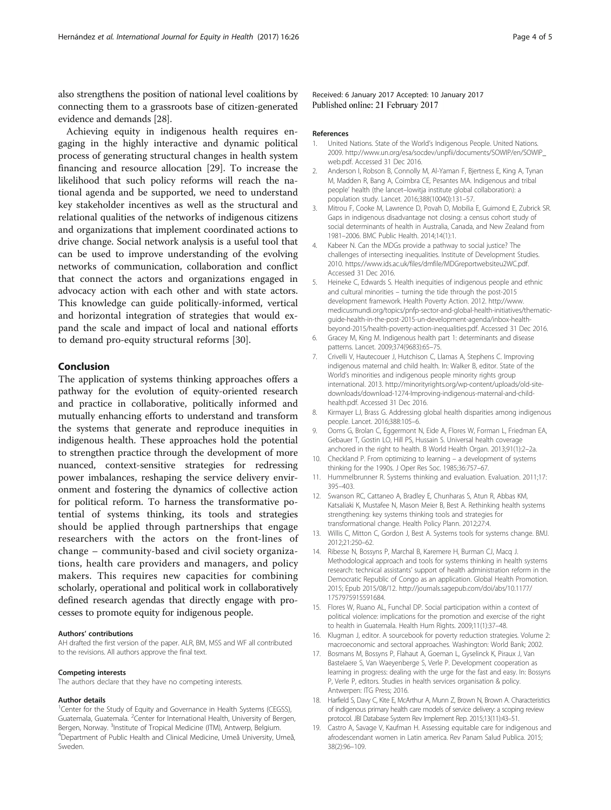<span id="page-3-0"></span>also strengthens the position of national level coalitions by connecting them to a grassroots base of citizen-generated evidence and demands [[28\]](#page-4-0).

Achieving equity in indigenous health requires engaging in the highly interactive and dynamic political process of generating structural changes in health system financing and resource allocation [[29](#page-4-0)]. To increase the likelihood that such policy reforms will reach the national agenda and be supported, we need to understand key stakeholder incentives as well as the structural and relational qualities of the networks of indigenous citizens and organizations that implement coordinated actions to drive change. Social network analysis is a useful tool that can be used to improve understanding of the evolving networks of communication, collaboration and conflict that connect the actors and organizations engaged in advocacy action with each other and with state actors. This knowledge can guide politically-informed, vertical and horizontal integration of strategies that would expand the scale and impact of local and national efforts to demand pro-equity structural reforms [\[30](#page-4-0)].

## Conclusion

The application of systems thinking approaches offers a pathway for the evolution of equity-oriented research and practice in collaborative, politically informed and mutually enhancing efforts to understand and transform the systems that generate and reproduce inequities in indigenous health. These approaches hold the potential to strengthen practice through the development of more nuanced, context-sensitive strategies for redressing power imbalances, reshaping the service delivery environment and fostering the dynamics of collective action for political reform. To harness the transformative potential of systems thinking, its tools and strategies should be applied through partnerships that engage researchers with the actors on the front-lines of change – community-based and civil society organizations, health care providers and managers, and policy makers. This requires new capacities for combining scholarly, operational and political work in collaboratively defined research agendas that directly engage with processes to promote equity for indigenous people.

#### Authors' contributions

AH drafted the first version of the paper. ALR, BM, MSS and WF all contributed to the revisions. All authors approve the final text.

#### Competing interests

The authors declare that they have no competing interests.

#### Author details

<sup>1</sup>Center for the Study of Equity and Governance in Health Systems (CEGSS), Guatemala, Guatemala. <sup>2</sup>Center for International Health, University of Bergen, Bergen, Norway. <sup>3</sup>Institute of Tropical Medicine (ITM), Antwerp, Belgium.<br><sup>4</sup>Department of Public Hoalth and Clinical Medicine. Umoå University U Department of Public Health and Clinical Medicine, Umeå University, Umeå, Sweden.

Received: 6 January 2017 Accepted: 10 January 2017 Published online: 21 February 2017

#### References

- 1. United Nations. State of the World's Indigenous People. United Nations. 2009. [http://www.un.org/esa/socdev/unpfii/documents/SOWIP/en/SOWIP\\_](http://www.un.org/esa/socdev/unpfii/documents/SOWIP/en/SOWIP_web.pdf) [web.pdf.](http://www.un.org/esa/socdev/unpfii/documents/SOWIP/en/SOWIP_web.pdf) Accessed 31 Dec 2016.
- 2. Anderson I, Robson B, Connolly M, Al-Yaman F, Bjertness E, King A, Tynan M, Madden R, Bang A, Coimbra CE, Pesantes MA. Indigenous and tribal people' health (the lancet–lowitja institute global collaboration): a population study. Lancet. 2016;388(10040):131–57.
- 3. Mitrou F, Cooke M, Lawrence D, Povah D, Mobilia E, Guimond E, Zubrick SR. Gaps in indigenous disadvantage not closing: a census cohort study of social determinants of health in Australia, Canada, and New Zealand from 1981–2006. BMC Public Health. 2014;14(1):1.
- Kabeer N. Can the MDGs provide a pathway to social justice? The challenges of intersecting inequalities. Institute of Development Studies. 2010. [https://www.ids.ac.uk/files/dmfile/MDGreportwebsiteu2WC.pdf.](https://www.ids.ac.uk/files/dmfile/MDGreportwebsiteu2WC.pdf) Accessed 31 Dec 2016.
- 5. Heineke C, Edwards S. Health inequities of indigenous people and ethnic and cultural minorities – turning the tide through the post-2015 development framework. Health Poverty Action. 2012. [http://www.](http://www.medicusmundi.org/topics/pnfp-sector-and-global-health-initiatives/thematic-guide-health-in-the-post-2015-un-development-agenda/inbox-health-beyond-2015/health-poverty-action-inequalities.pdf) [medicusmundi.org/topics/pnfp-sector-and-global-health-initiatives/thematic](http://www.medicusmundi.org/topics/pnfp-sector-and-global-health-initiatives/thematic-guide-health-in-the-post-2015-un-development-agenda/inbox-health-beyond-2015/health-poverty-action-inequalities.pdf)[guide-health-in-the-post-2015-un-development-agenda/inbox-health](http://www.medicusmundi.org/topics/pnfp-sector-and-global-health-initiatives/thematic-guide-health-in-the-post-2015-un-development-agenda/inbox-health-beyond-2015/health-poverty-action-inequalities.pdf)[beyond-2015/health-poverty-action-inequalities.pdf.](http://www.medicusmundi.org/topics/pnfp-sector-and-global-health-initiatives/thematic-guide-health-in-the-post-2015-un-development-agenda/inbox-health-beyond-2015/health-poverty-action-inequalities.pdf) Accessed 31 Dec 2016.
- 6. Gracey M, King M. Indigenous health part 1: determinants and disease patterns. Lancet. 2009;374(9683):65–75.
- 7. Crivelli V, Hautecouer J, Hutchison C, Llamas A, Stephens C. Improving indigenous maternal and child health. In: Walker B, editor. State of the World's minorities and indigenous people minority rights group international. 2013. [http://minorityrights.org/wp-content/uploads/old-site](http://minorityrights.org/wp-content/uploads/old-site-downloads/download-1274-Improving-indigenous-maternal-and-child-health.pdf)[downloads/download-1274-Improving-indigenous-maternal-and-child](http://minorityrights.org/wp-content/uploads/old-site-downloads/download-1274-Improving-indigenous-maternal-and-child-health.pdf)[health.pdf](http://minorityrights.org/wp-content/uploads/old-site-downloads/download-1274-Improving-indigenous-maternal-and-child-health.pdf). Accessed 31 Dec 2016.
- 8. Kirmayer LJ, Brass G. Addressing global health disparities among indigenous people. Lancet. 2016;388:105–6.
- 9. Ooms G, Brolan C, Eggermont N, Eide A, Flores W, Forman L, Friedman EA, Gebauer T, Gostin LO, Hill PS, Hussain S. Universal health coverage anchored in the right to health. B World Health Organ. 2013;91(1):2–2a.
- 10. Checkland P. From optimizing to learning a development of systems thinking for the 1990s. J Oper Res Soc. 1985;36:757–67.
- 11. Hummelbrunner R. Systems thinking and evaluation. Evaluation. 2011;17: 395–403.
- 12. Swanson RC, Cattaneo A, Bradley E, Chunharas S, Atun R, Abbas KM, Katsaliaki K, Mustafee N, Mason Meier B, Best A. Rethinking health systems strengthening: key systems thinking tools and strategies for transformational change. Health Policy Plann. 2012;27:4.
- 13. Willis C, Mitton C, Gordon J, Best A. Systems tools for systems change. BMJ. 2012;21:250–62.
- 14. Ribesse N, Bossyns P, Marchal B, Karemere H, Burman CJ, Macq J. Methodological approach and tools for systems thinking in health systems research: technical assistants' support of health administration reform in the Democratic Republic of Congo as an application. Global Health Promotion. 2015; Epub 2015/08/12. [http://journals.sagepub.com/doi/abs/10.1177/](http://journals.sagepub.com/doi/abs/10.1177/1757975915591684) [1757975915591684](http://journals.sagepub.com/doi/abs/10.1177/1757975915591684).
- 15. Flores W, Ruano AL, Funchal DP. Social participation within a context of political violence: implications for the promotion and exercise of the right to health in Guatemala. Health Hum Rights. 2009;11(1):37–48.
- 16. Klugman J, editor. A sourcebook for poverty reduction strategies. Volume 2: macroeconomic and sectoral approaches. Washington: World Bank; 2002.
- 17. Bosmans M, Bossyns P, Flahaut A, Goeman L, Gyselinck K, Piraux J, Van Bastelaere S, Van Waeyenberge S, Verle P. Development cooperation as learning in progress: dealing with the urge for the fast and easy. In: Bossyns P, Verle P, editors. Studies in health services organisation & policy. Antwerpen: ITG Press; 2016.
- 18. Harfield S, Davy C, Kite E, McArthur A, Munn Z, Brown N, Brown A. Characteristics of indigenous primary health care models of service delivery: a scoping review protocol. JBI Database System Rev Implement Rep. 2015;13(11):43–51.
- 19. Castro A, Savage V, Kaufman H. Assessing equitable care for indigenous and afrodescendant women in Latin america. Rev Panam Salud Publica. 2015; 38(2):96–109.